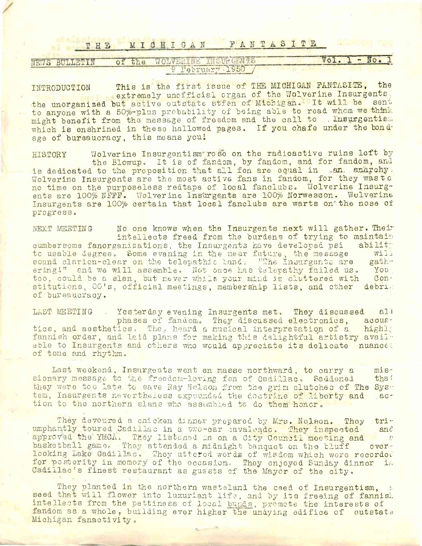## THE MICHIGAN FANTASITE

| THE           |                                                    | MICHIGAN FANTASITE |            |      |         |
|---------------|----------------------------------------------------|--------------------|------------|------|---------|
| NEWS BULLETIN | of the                                             | 9 February 1950    | SITE GENTS | Vol. | - No. 1 |
| INTRODUCTION  | This is the first issue of THE MICHIGAN FANTASITE, |                    |            |      | the     |

INTRODUCTION **This is** the first issue of THE MICHIGAN FANTASITE, the extremely unofficial organ of the Wolverine Insurgents, the unorganized but active outstate stfen of Michigan. It will be sent to anyone with a 50%-plus probability of being able to read whom we think might benefit from the message of freedom and. the call to . Insurgentism which is enshrined in these hallowed pages. If you chafe under the bondage of bursaucracy, this means you!

HISTORY Wolverine Insurgentism rose on the radioactive ruins left by the Blowup. It is of fandom, by fandom, and for fandom, and is dedicated to the proposition that all fen are equal in -an. anaychy.<br>Wolverine Insurgents are the most active fans in fandom, for they waste no time on the purposeless redtape of local fanclubs. Wolverine Insurgents are 100% NFFF. Wolverine Insurgents are 100% Norwesbon. Wolverine Insurgents are 100% certain that local fanclubs are warts on" the nose of progress.

NEXT MEETING No one knows when the Insurgents next will gather. Their intellects freed from the burdens of trying to maintain<br>anizations, the Insurgents have developed psi ability cumbersome fanorganizations, the Insurgents have developed psi abilit;<br>to usable degree, Some evening in the near future, the message will to usable degree. Some evening in the near future, the message will sound clarion-clear on the telepathic band, "The Insurgents are gath-<br>ering!" and we will assemble. Not once has telepathy failed us. You. ering '" and we will assemble. Not once has telepathy failed us. You, too. could be a slan, but never while your mind is cluttered with stitutions, OC's, official meetings, membership lists, and other debris of bureaucracy.

LAST MEETING Yesterday evening Insurgents met. They discussed all. phases of fandom. They discussed electronics, acoustics, and aesthetics. They heard a musical interpretation of a fannish order, and laid plans for making this delightful artistry available to Insurgents and others who would appreciate its delicate nuances of tone and rhythm.

Last weekend, Insurgents went en masse northward, to carry a mis-<br>lary message to the freedom-loving fen of Cadillac, Saddened that sionary message to the freedom-loving fen of Cadillac. Saddened they were too late to save Ray Nelson from the grim clutches of The Sys-<br>tem, Insurgents nevertheless expounded the doctrine of liberty and actem, Insurgents nevertheless expounded the doctrine of liberty and tion to the northern slans who assembled to do them honor.

They devoured a chicken dinner prepared by Mrs. Nelson. Thoy tri-<br>ntly toured Cadillac in a two-car cavaleade. They inspected and umphantly toured Cadillac in a two-car cavalcade. They inspected approved the YMCA. They listened in on a City Council meeting and a seake the light overbasketball game. They attended a midnight banquet on the bluff looking Lake Cadillac. Thoy uttered words of wisdom which were reoordoc for posterity in memory of the occasion. They enjoyed Sunday dinner in Cadillac's finest restaurant as guests of the Mayor of the city.

They planted in the northern wasteland the seed of Insurgentism, seed that will flower into luxuriant life, and by its freeing of fannish intellects from the pettiness of local <sup>b</sup>unds, promote the interests of fandom as a whole, building ever higher the unaying edifice of outstate Michigan fanactivity.